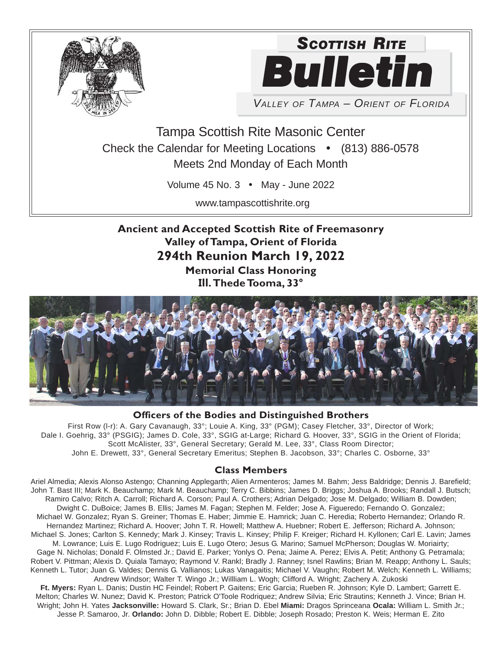



*VALLEY OF TAMPA – ORIENT OF FLORIDA*

Tampa Scottish Rite Masonic Center Check the Calendar for Meeting Locations • (813) 886-0578 Meets 2nd Monday of Each Month

Volume 45 No. 3 • May - June 2022

www.tampascottishrite.org

**Ancient and Accepted Scottish Rite of Freemasonry Valley of Tampa, Orient of Florida 294th Reunion March 19, 2022 Memorial Class Honoring Ill. Thede Tooma, 33°**



### **Officers of the Bodies and Distinguished Brothers**

First Row (l-r): A. Gary Cavanaugh, 33°; Louie A. King, 33° (PGM); Casey Fletcher, 33°, Director of Work; Dale I. Goehrig, 33° (PSGIG); James D. Cole, 33°, SGIG at-Large; Richard G. Hoover, 33°, SGIG in the Orient of Florida; Scott McAlister, 33°, General Secretary; Gerald M. Lee, 33°, Class Room Director; John E. Drewett, 33°, General Secretary Emeritus; Stephen B. Jacobson, 33°; Charles C. Osborne, 33°

#### **Class Members**

Ariel Almedia; Alexis Alonso Astengo; Channing Applegarth; Alien Armenteros; James M. Bahm; Jess Baldridge; Dennis J. Barefield; John T. Bast III; Mark K. Beauchamp; Mark M. Beauchamp; Terry C. Bibbins; James D. Briggs; Joshua A. Brooks; Randall J. Butsch; Ramiro Calvo; Ritch A. Carroll; Richard A. Corson; Paul A. Crothers; Adrian Delgado; Jose M. Delgado; William B. Dowden; Dwight C. DuBoice; James B. Ellis; James M. Fagan; Stephen M. Felder; Jose A. Figueredo; Fernando O. Gonzalez; Michael W. Gonzalez; Ryan S. Greiner; Thomas E. Haber; Jimmie E. Hamrick; Juan C. Heredia; Roberto Hernandez; Orlando R. Hernandez Martinez; Richard A. Hoover; John T. R. Howell; Matthew A. Huebner; Robert E. Jefferson; Richard A. Johnson; Michael S. Jones; Carlton S. Kennedy; Mark J. Kinsey; Travis L. Kinsey; Philip F. Kreiger; Richard H. Kyllonen; Carl E. Lavin; James M. Lowrance; Luis E. Lugo Rodriguez; Luis E. Lugo Otero; Jesus G. Marino; Samuel McPherson; Douglas W. Moriairty; Gage N. Nicholas; Donald F. Olmsted Jr.; David E. Parker; Yonlys O. Pena; Jaime A. Perez; Elvis A. Petit; Anthony G. Petramala; Robert V. Pittman; Alexis D. Quiala Tamayo; Raymond V. Rankl; Bradly J. Ranney; Isnel Rawlins; Brian M. Reapp; Anthony L. Sauls; Kenneth L. Tutor; Juan G. Valdes; Dennis G. Vallianos; Lukas Vanagaitis; Michael V. Vaughn; Robert M. Welch; Kenneth L. Williams; Andrew Windsor; Walter T. Wingo Jr.; Willliam L. Wogh; Clifford A. Wright; Zachery A. Zukoski

**Ft. Myers:** Ryan L. Danis; Dustin HC Feindel; Robert P. Gaitens; Eric Garcia; Rueben R. Johnson; Kyle D. Lambert; Garrett E. Melton; Charles W. Nunez; David K. Preston; Patrick O'Toole Rodriquez; Andrew Silvia; Eric Strautins; Kenneth J. Vince; Brian H. Wright; John H. Yates **Jacksonville:** Howard S. Clark, Sr.; Brian D. Ebel **Miami:** Dragos Sprinceana **Ocala:** William L. Smith Jr.; Jesse P. Samaroo, Jr. **Orlando:** John D. Dibble; Robert E. Dibble; Joseph Rosado; Preston K. Weis; Herman E. Zito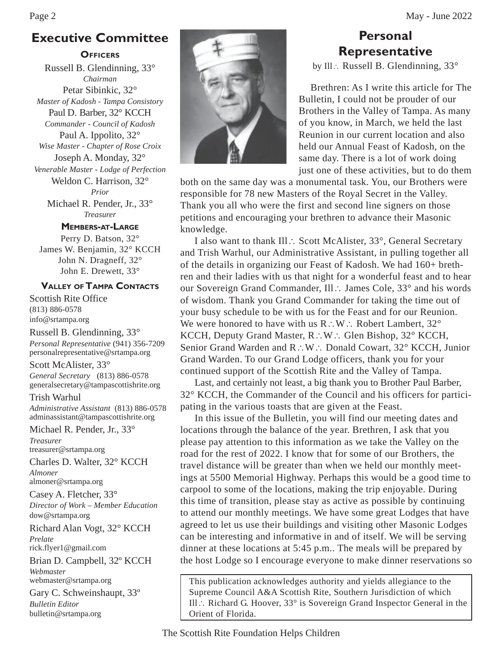# **Executive Committee**

#### **OFFICERS**

Russell B. Glendinning, 33° *Chairman* Petar Sibinkic, 32° *Master of Kadosh - Tampa Consistory* Paul D. Barber, 32° KCCH *Commander - Council of Kadosh* Paul A. Ippolito, 32° *Wise Master - Chapter of Rose Croix* Joseph A. Monday, 32° *Venerable Master - Lodge of Perfection* Weldon C. Harrison, 32° *Prior*

Michael R. Pender, Jr., 33° *Treasurer*

### **MEMBERS-AT-LARGE**

Perry D. Batson, 32° James W. Benjamin, 32° KCCH John N. Dragneff, 32° John E. Drewett, 33°

#### **VALLEY OF TAMPA CONTACTS**

Scottish Rite Office (813) 886-0578 info@srtampa.org

Russell B. Glendinning, 33° *Personal Representative* (941) 356-7209 personalrepresentative@srtampa.org

Scott McAlister, 33° *General Secretary* (813) 886-0578 generalsecretary@tampascottishrite.org

Trish Warhul *Administrative Assistant* (813) 886-0578 adminassistant@tampascottishrite.org

Michael R. Pender, Jr., 33° *Treasurer* treasurer@srtampa.org

Charles D. Walter, 32° KCCH *Almoner*

almoner@srtampa.org Casey A. Fletcher, 33° *Director of Work – Member Education* dow@srtampa.org

Richard Alan Vogt, 32° KCCH *Prelate* rick.flyer1@gmail.com

Brian D. Campbell, 32º KCCH *Webmaster* webmaster@srtampa.org

Gary C. Schweinshaupt, 33º *Bulletin Editor* bulletin@srtampa.org



# **Personal Representative**

by Ill.: Russell B. Glendinning,  $33^{\circ}$ 

Brethren: As I write this article for The Bulletin, I could not be prouder of our Brothers in the Valley of Tampa. As many of you know, in March, we held the last Reunion in our current location and also held our Annual Feast of Kadosh, on the same day. There is a lot of work doing just one of these activities, but to do them

both on the same day was a monumental task. You, our Brothers were responsible for 78 new Masters of the Royal Secret in the Valley. Thank you all who were the first and second line signers on those petitions and encouraging your brethren to advance their Masonic knowledge.

I also want to thank Ill ∴ Scott McAlister, 33°, General Secretary and Trish Warhul, our Administrative Assistant, in pulling together all of the details in organizing our Feast of Kadosh. We had 160+ brethren and their ladies with us that night for a wonderful feast and to hear our Sovereign Grand Commander, Ill .: James Cole, 33° and his words of wisdom. Thank you Grand Commander for taking the time out of your busy schedule to be with us for the Feast and for our Reunion. We were honored to have with us  $R:W:R$  Robert Lambert,  $32^{\circ}$ KCCH, Deputy Grand Master,  $R: W: Glen Bishop, 32^{\circ}$  KCCH, Senior Grand Warden and R∴W ∴ Donald Cowart, 32° KCCH, Junior Grand Warden. To our Grand Lodge officers, thank you for your continued support of the Scottish Rite and the Valley of Tampa.

 Last, and certainly not least, a big thank you to Brother Paul Barber, 32° KCCH, the Commander of the Council and his officers for participating in the various toasts that are given at the Feast.

 In this issue of the Bulletin, you will find our meeting dates and locations through the balance of the year. Brethren, I ask that you please pay attention to this information as we take the Valley on the road for the rest of 2022. I know that for some of our Brothers, the travel distance will be greater than when we held our monthly meetings at 5500 Memorial Highway. Perhaps this would be a good time to carpool to some of the locations, making the trip enjoyable. During this time of transition, please stay as active as possible by continuing to attend our monthly meetings. We have some great Lodges that have agreed to let us use their buildings and visiting other Masonic Lodges can be interesting and informative in and of itself. We will be serving dinner at these locations at 5:45 p.m.. The meals will be prepared by the host Lodge so I encourage everyone to make dinner reservations so

This publication acknowledges authority and yields allegiance to the Supreme Council A&A Scottish Rite, Southern Jurisdiction of which Ill  $\therefore$  Richard G. Hoover, 33° is Sovereign Grand Inspector General in the Orient of Florida.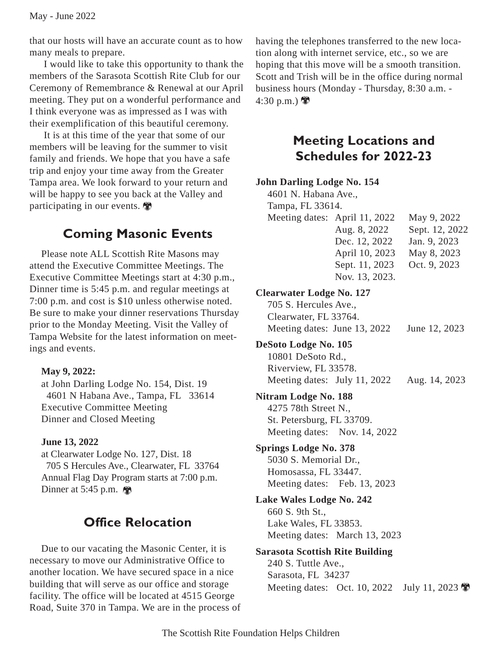that our hosts will have an accurate count as to how many meals to prepare.

 I would like to take this opportunity to thank the members of the Sarasota Scottish Rite Club for our Ceremony of Remembrance & Renewal at our April meeting. They put on a wonderful performance and I think everyone was as impressed as I was with their exemplification of this beautiful ceremony.

 It is at this time of the year that some of our members will be leaving for the summer to visit family and friends. We hope that you have a safe trip and enjoy your time away from the Greater Tampa area. We look forward to your return and will be happy to see you back at the Valley and participating in our events.

## **Coming Masonic Events**

Please note ALL Scottish Rite Masons may attend the Executive Committee Meetings. The Executive Committee Meetings start at 4:30 p.m., Dinner time is 5:45 p.m. and regular meetings at 7:00 p.m. and cost is \$10 unless otherwise noted. Be sure to make your dinner reservations Thursday prior to the Monday Meeting. Visit the Valley of Tampa Website for the latest information on meetings and events.

### **May 9, 2022:**

at John Darling Lodge No. 154, Dist. 19 4601 N Habana Ave., Tampa, FL 33614 Executive Committee Meeting Dinner and Closed Meeting

### **June 13, 2022**

at Clearwater Lodge No. 127, Dist. 18 705 S Hercules Ave., Clearwater, FL 33764 Annual Flag Day Program starts at 7:00 p.m. Dinner at 5:45 p.m.  $\blacksquare$ 

# **Office Relocation**

Due to our vacating the Masonic Center, it is necessary to move our Administrative Office to another location. We have secured space in a nice building that will serve as our office and storage facility. The office will be located at 4515 George Road, Suite 370 in Tampa. We are in the process of having the telephones transferred to the new location along with internet service, etc., so we are hoping that this move will be a smooth transition. Scott and Trish will be in the office during normal business hours (Monday - Thursday, 8:30 a.m. - 4:30 p.m.)

## **Meeting Locations and Schedules for 2022-23**

### **John Darling Lodge No. 154**

| 4601 N. Habana Ave.,                                                             |                                                                                                                      |                                                                              |
|----------------------------------------------------------------------------------|----------------------------------------------------------------------------------------------------------------------|------------------------------------------------------------------------------|
| Tampa, FL 33614.                                                                 |                                                                                                                      |                                                                              |
|                                                                                  | Meeting dates: April 11, 2022<br>Aug. 8, 2022<br>Dec. 12, 2022<br>April 10, 2023<br>Sept. 11, 2023<br>Nov. 13, 2023. | May 9, 2022<br>Sept. 12, 2022<br>Jan. 9, 2023<br>May 8, 2023<br>Oct. 9, 2023 |
| <b>Clearwater Lodge No. 127</b>                                                  |                                                                                                                      |                                                                              |
| 705 S. Hercules Ave.,<br>Clearwater, FL 33764.                                   | Meeting dates: June 13, 2022                                                                                         | June 12, 2023                                                                |
| DeSoto Lodge No. 105                                                             |                                                                                                                      |                                                                              |
| 10801 DeSoto Rd.,                                                                |                                                                                                                      |                                                                              |
| Riverview, FL 33578.                                                             |                                                                                                                      |                                                                              |
|                                                                                  | Meeting dates: July 11, 2022                                                                                         | Aug. 14, 2023                                                                |
| <b>Nitram Lodge No. 188</b><br>4275 78th Street N.,<br>St. Petersburg, FL 33709. | Meeting dates: Nov. 14, 2022                                                                                         |                                                                              |
| <b>Springs Lodge No. 378</b>                                                     |                                                                                                                      |                                                                              |
| 5030 S. Memorial Dr.,                                                            |                                                                                                                      |                                                                              |
| Homosassa, FL 33447.                                                             |                                                                                                                      |                                                                              |
|                                                                                  | Meeting dates: Feb. 13, 2023                                                                                         |                                                                              |
| <b>Lake Wales Lodge No. 242</b>                                                  |                                                                                                                      |                                                                              |
| 660 S. 9th St.,                                                                  |                                                                                                                      |                                                                              |
| Lake Wales, FL 33853.                                                            |                                                                                                                      |                                                                              |
|                                                                                  | Meeting dates: March 13, 2023                                                                                        |                                                                              |
| <b>Sarasota Scottish Rite Building</b>                                           |                                                                                                                      |                                                                              |
| 240 S. Tuttle Ave.,<br>Sarasota, FL 34237                                        |                                                                                                                      |                                                                              |
| Meeting dates: Oct. 10, 2022                                                     |                                                                                                                      | July 11, 2023                                                                |
|                                                                                  |                                                                                                                      |                                                                              |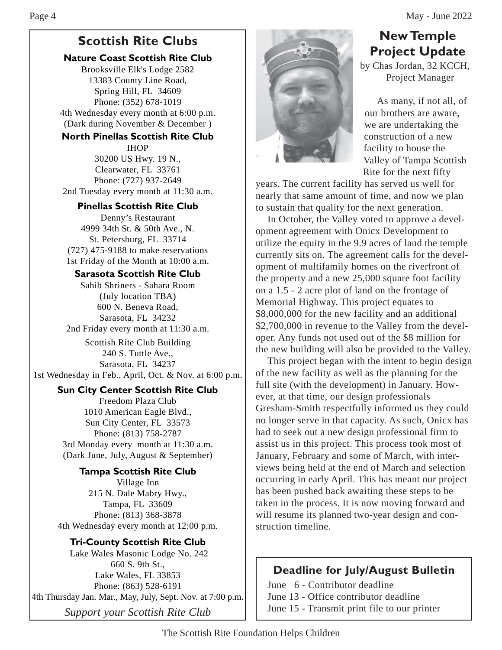# **Scottish Rite Clubs**

### **Nature Coast Scottish Rite Club**

Brooksville Elk's Lodge 2582 13383 County Line Road, Spring Hill, FL 34609 Phone: (352) 678-1019 4th Wednesday every month at 6:00 p.m. (Dark during November & December )

### **North Pinellas Scottish Rite Club**

IHOP 30200 US Hwy. 19 N., Clearwater, FL 33761 Phone: (727) 937-2649 2nd Tuesday every month at 11:30 a.m.

### **Pinellas Scottish Rite Club**

Denny's Restaurant 4999 34th St. & 50th Ave., N. St. Petersburg, FL 33714 (727) 475-9188 to make reservations 1st Friday of the Month at 10:00 a.m.

### **Sarasota Scottish Rite Club**

Sahib Shriners - Sahara Room (July location TBA) 600 N. Beneva Road, Sarasota, FL 34232 2nd Friday every month at 11:30 a.m.

Scottish Rite Club Building 240 S. Tuttle Ave., Sarasota, FL 34237 1st Wednesday in Feb., April, Oct. & Nov. at 6:00 p.m.

## **Sun City Center Scottish Rite Club**

Freedom Plaza Club 1010 American Eagle Blvd., Sun City Center, FL 33573 Phone: (813) 758-2787 3rd Monday every month at 11:30 a.m. (Dark June, July, August & September)

#### **Tampa Scottish Rite Club** Village Inn 215 N. Dale Mabry Hwy., Tampa, FL 33609 Phone: (813) 368-3878 4th Wednesday every month at 12:00 p.m.

## **Tri-County Scottish Rite Club**

*Support your Scottish Rite Club* Lake Wales Masonic Lodge No. 242 660 S. 9th St., Lake Wales, FL 33853 Phone: (863) 528-6191 4th Thursday Jan. Mar., May, July, Sept. Nov. at 7:00 p.m.



## **New Temple Project Update**

by Chas Jordan, 32 KCCH, Project Manager

As many, if not all, of our brothers are aware, we are undertaking the construction of a new facility to house the Valley of Tampa Scottish Rite for the next fifty

years. The current facility has served us well for nearly that same amount of time, and now we plan to sustain that quality for the next generation.

In October, the Valley voted to approve a development agreement with Onicx Development to utilize the equity in the 9.9 acres of land the temple currently sits on. The agreement calls for the development of multifamily homes on the riverfront of the property and a new 25,000 square foot facility on a 1.5 - 2 acre plot of land on the frontage of Memorial Highway. This project equates to \$8,000,000 for the new facility and an additional \$2,700,000 in revenue to the Valley from the developer. Any funds not used out of the \$8 million for the new building will also be provided to the Valley.

This project began with the intent to begin design of the new facility as well as the planning for the full site (with the development) in January. However, at that time, our design professionals Gresham-Smith respectfully informed us they could no longer serve in that capacity. As such, Onicx has had to seek out a new design professional firm to assist us in this project. This process took most of January, February and some of March, with interviews being held at the end of March and selection occurring in early April. This has meant our project has been pushed back awaiting these steps to be taken in the process. It is now moving forward and will resume its planned two-year design and construction timeline.

## **Deadline for July/August Bulletin**

June 6 - Contributor deadline June 13 - Office contributor deadline June 15 - Transmit print file to our printer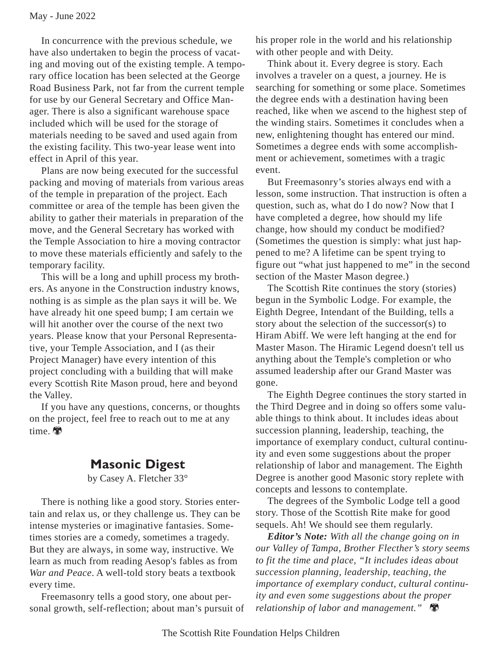In concurrence with the previous schedule, we have also undertaken to begin the process of vacating and moving out of the existing temple. A temporary office location has been selected at the George Road Business Park, not far from the current temple for use by our General Secretary and Office Manager. There is also a significant warehouse space included which will be used for the storage of materials needing to be saved and used again from the existing facility. This two-year lease went into effect in April of this year.

Plans are now being executed for the successful packing and moving of materials from various areas of the temple in preparation of the project. Each committee or area of the temple has been given the ability to gather their materials in preparation of the move, and the General Secretary has worked with the Temple Association to hire a moving contractor to move these materials efficiently and safely to the temporary facility.

This will be a long and uphill process my brothers. As anyone in the Construction industry knows, nothing is as simple as the plan says it will be. We have already hit one speed bump; I am certain we will hit another over the course of the next two years. Please know that your Personal Representative, your Temple Association, and I (as their Project Manager) have every intention of this project concluding with a building that will make every Scottish Rite Mason proud, here and beyond the Valley.

If you have any questions, concerns, or thoughts on the project, feel free to reach out to me at any time.

## **Masonic Digest**

by Casey A. Fletcher 33°

There is nothing like a good story. Stories entertain and relax us, or they challenge us. They can be intense mysteries or imaginative fantasies. Sometimes stories are a comedy, sometimes a tragedy. But they are always, in some way, instructive. We learn as much from reading Aesop's fables as from *War and Peace*. A well-told story beats a textbook every time.

Freemasonry tells a good story, one about personal growth, self-reflection; about man's pursuit of his proper role in the world and his relationship with other people and with Deity.

Think about it. Every degree is story. Each involves a traveler on a quest, a journey. He is searching for something or some place. Sometimes the degree ends with a destination having been reached, like when we ascend to the highest step of the winding stairs. Sometimes it concludes when a new, enlightening thought has entered our mind. Sometimes a degree ends with some accomplishment or achievement, sometimes with a tragic event.

But Freemasonry's stories always end with a lesson, some instruction. That instruction is often a question, such as, what do I do now? Now that I have completed a degree, how should my life change, how should my conduct be modified? (Sometimes the question is simply: what just happened to me? A lifetime can be spent trying to figure out "what just happened to me" in the second section of the Master Mason degree.)

The Scottish Rite continues the story (stories) begun in the Symbolic Lodge. For example, the Eighth Degree, Intendant of the Building, tells a story about the selection of the successor(s) to Hiram Abiff. We were left hanging at the end for Master Mason. The Hiramic Legend doesn't tell us anything about the Temple's completion or who assumed leadership after our Grand Master was gone.

The Eighth Degree continues the story started in the Third Degree and in doing so offers some valuable things to think about. It includes ideas about succession planning, leadership, teaching, the importance of exemplary conduct, cultural continuity and even some suggestions about the proper relationship of labor and management. The Eighth Degree is another good Masonic story replete with concepts and lessons to contemplate.

The degrees of the Symbolic Lodge tell a good story. Those of the Scottish Rite make for good sequels. Ah! We should see them regularly.

*Editor's Note: With all the change going on in our Valley of Tampa, Brother Flecther's story seems to fit the time and place, "It includes ideas about succession planning, leadership, teaching, the importance of exemplary conduct, cultural continuity and even some suggestions about the proper relationship of labor and management."*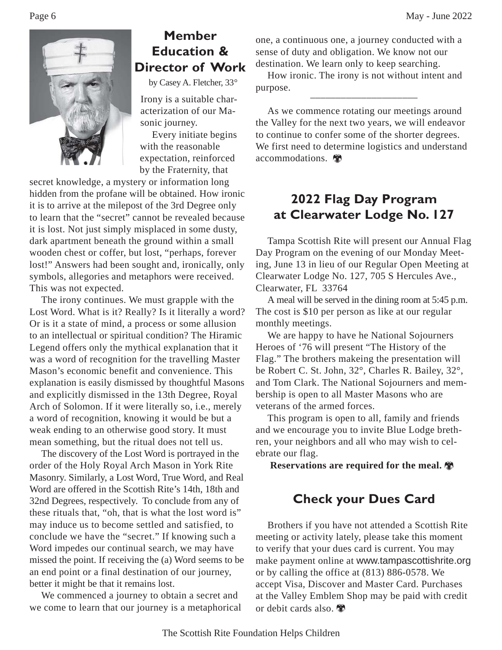

## **Member Education & Director of Work**

by Casey A. Fletcher, 33°

Irony is a suitable characterization of our Masonic journey.

Every initiate begins with the reasonable expectation, reinforced by the Fraternity, that

secret knowledge, a mystery or information long hidden from the profane will be obtained. How ironic it is to arrive at the milepost of the 3rd Degree only to learn that the "secret" cannot be revealed because it is lost. Not just simply misplaced in some dusty, dark apartment beneath the ground within a small wooden chest or coffer, but lost, "perhaps, forever lost!" Answers had been sought and, ironically, only symbols, allegories and metaphors were received. This was not expected.

The irony continues. We must grapple with the Lost Word. What is it? Really? Is it literally a word? Or is it a state of mind, a process or some allusion to an intellectual or spiritual condition? The Hiramic Legend offers only the mythical explanation that it was a word of recognition for the travelling Master Mason's economic benefit and convenience. This explanation is easily dismissed by thoughtful Masons and explicitly dismissed in the 13th Degree, Royal Arch of Solomon. If it were literally so, i.e., merely a word of recognition, knowing it would be but a weak ending to an otherwise good story. It must mean something, but the ritual does not tell us.

The discovery of the Lost Word is portrayed in the order of the Holy Royal Arch Mason in York Rite Masonry. Similarly, a Lost Word, True Word, and Real Word are offered in the Scottish Rite's 14th, 18th and 32nd Degrees, respectively. To conclude from any of these rituals that, "oh, that is what the lost word is" may induce us to become settled and satisfied, to conclude we have the "secret." If knowing such a Word impedes our continual search, we may have missed the point. If receiving the (a) Word seems to be an end point or a final destination of our journey, better it might be that it remains lost.

We commenced a journey to obtain a secret and we come to learn that our journey is a metaphorical

one, a continuous one, a journey conducted with a sense of duty and obligation. We know not our destination. We learn only to keep searching.

How ironic. The irony is not without intent and purpose.

As we commence rotating our meetings around the Valley for the next two years, we will endeavor to continue to confer some of the shorter degrees. We first need to determine logistics and understand accommodations.

# **2022 Flag Day Program at Clearwater Lodge No. 127**

Tampa Scottish Rite will present our Annual Flag Day Program on the evening of our Monday Meeting, June 13 in lieu of our Regular Open Meeting at Clearwater Lodge No. 127, 705 S Hercules Ave., Clearwater, FL 33764

A meal will be served in the dining room at 5:45 p.m. The cost is \$10 per person as like at our regular monthly meetings.

We are happy to have he National Sojourners Heroes of '76 will present "The History of the Flag." The brothers makeing the presentation will be Robert C. St. John, 32°, Charles R. Bailey, 32°, and Tom Clark. The National Sojourners and membership is open to all Master Masons who are veterans of the armed forces.

This program is open to all, family and friends and we encourage you to invite Blue Lodge brethren, your neighbors and all who may wish to celebrate our flag.

**Reservations are required for the meal.**

## **Check your Dues Card**

Brothers if you have not attended a Scottish Rite meeting or activity lately, please take this moment to verify that your dues card is current. You may make payment online at www.tampascottishrite.org or by calling the office at (813) 886-0578. We accept Visa, Discover and Master Card. Purchases at the Valley Emblem Shop may be paid with credit or debit cards also.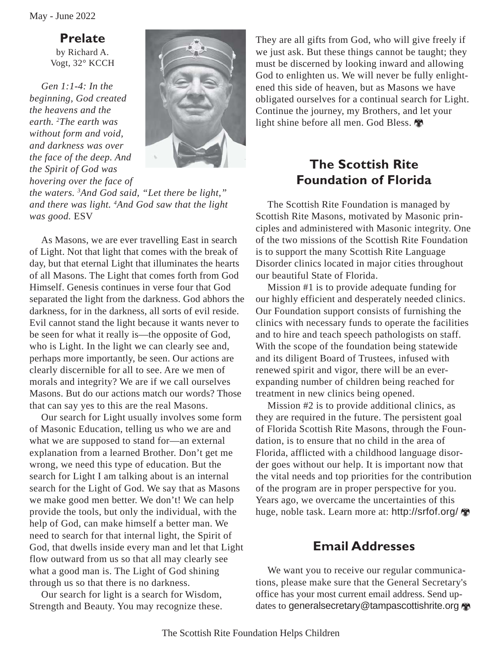**Prelate**

by Richard A. Vogt, 32° KCCH

*Gen 1:1-4: In the beginning, God created the heavens and the earth. 2 The earth was without form and void, and darkness was over the face of the deep. And the Spirit of God was hovering over the face of*



*the waters. 3 And God said, "Let there be light," and there was light. 4 And God saw that the light was good.* ESV

As Masons, we are ever travelling East in search of Light. Not that light that comes with the break of day, but that eternal Light that illuminates the hearts of all Masons. The Light that comes forth from God Himself. Genesis continues in verse four that God separated the light from the darkness. God abhors the darkness, for in the darkness, all sorts of evil reside. Evil cannot stand the light because it wants never to be seen for what it really is—the opposite of God, who is Light. In the light we can clearly see and, perhaps more importantly, be seen. Our actions are clearly discernible for all to see. Are we men of morals and integrity? We are if we call ourselves Masons. But do our actions match our words? Those that can say yes to this are the real Masons.

Our search for Light usually involves some form of Masonic Education, telling us who we are and what we are supposed to stand for—an external explanation from a learned Brother. Don't get me wrong, we need this type of education. But the search for Light I am talking about is an internal search for the Light of God. We say that as Masons we make good men better. We don't! We can help provide the tools, but only the individual, with the help of God, can make himself a better man. We need to search for that internal light, the Spirit of God, that dwells inside every man and let that Light flow outward from us so that all may clearly see what a good man is. The Light of God shining through us so that there is no darkness.

Our search for light is a search for Wisdom, Strength and Beauty. You may recognize these. They are all gifts from God, who will give freely if we just ask. But these things cannot be taught; they must be discerned by looking inward and allowing God to enlighten us. We will never be fully enlightened this side of heaven, but as Masons we have obligated ourselves for a continual search for Light. Continue the journey, my Brothers, and let your light shine before all men. God Bless.

# **The Scottish Rite Foundation of Florida**

The Scottish Rite Foundation is managed by Scottish Rite Masons, motivated by Masonic principles and administered with Masonic integrity. One of the two missions of the Scottish Rite Foundation is to support the many Scottish Rite Language Disorder clinics located in major cities throughout our beautiful State of Florida.

Mission #1 is to provide adequate funding for our highly efficient and desperately needed clinics. Our Foundation support consists of furnishing the clinics with necessary funds to operate the facilities and to hire and teach speech pathologists on staff. With the scope of the foundation being statewide and its diligent Board of Trustees, infused with renewed spirit and vigor, there will be an everexpanding number of children being reached for treatment in new clinics being opened.

Mission #2 is to provide additional clinics, as they are required in the future. The persistent goal of Florida Scottish Rite Masons, through the Foundation, is to ensure that no child in the area of Florida, afflicted with a childhood language disorder goes without our help. It is important now that the vital needs and top priorities for the contribution of the program are in proper perspective for you. Years ago, we overcame the uncertainties of this huge, noble task. Learn more at: http://srfof.org/ $\clubsuit$ 

## **Email Addresses**

We want you to receive our regular communications, please make sure that the General Secretary's office has your most current email address. Send updates to generalsecretary@tampascottishrite.org